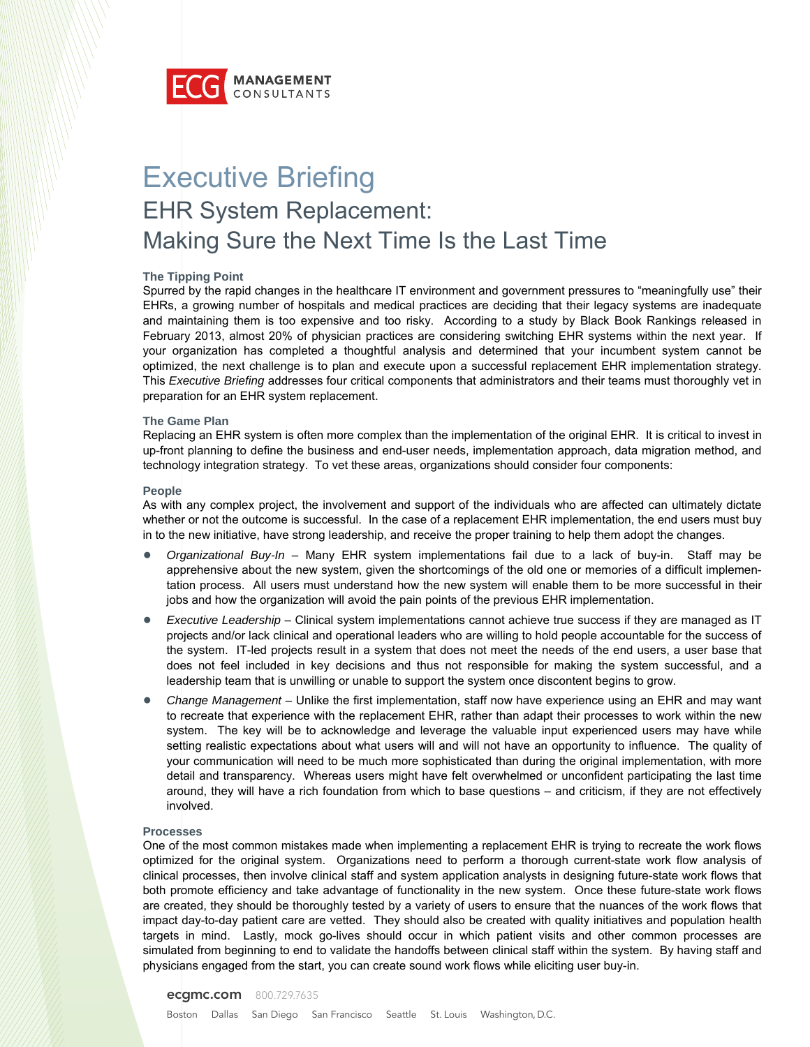

# Executive Briefing EHR System Replacement: Making Sure the Next Time Is the Last Time

### **The Tipping Point**

Spurred by the rapid changes in the healthcare IT environment and government pressures to "meaningfully use" their EHRs, a growing number of hospitals and medical practices are deciding that their legacy systems are inadequate and maintaining them is too expensive and too risky. According to a study by Black Book Rankings released in February 2013, almost 20% of physician practices are considering switching EHR systems within the next year. If your organization has completed a thoughtful analysis and determined that your incumbent system cannot be optimized, the next challenge is to plan and execute upon a successful replacement EHR implementation strategy. This *Executive Briefing* addresses four critical components that administrators and their teams must thoroughly vet in preparation for an EHR system replacement.

#### **The Game Plan**

Replacing an EHR system is often more complex than the implementation of the original EHR. It is critical to invest in up-front planning to define the business and end-user needs, implementation approach, data migration method, and technology integration strategy. To vet these areas, organizations should consider four components:

#### **People**

As with any complex project, the involvement and support of the individuals who are affected can ultimately dictate whether or not the outcome is successful. In the case of a replacement EHR implementation, the end users must buy in to the new initiative, have strong leadership, and receive the proper training to help them adopt the changes.

- *Organizational Buy-In* Many EHR system implementations fail due to a lack of buy-in. Staff may be apprehensive about the new system, given the shortcomings of the old one or memories of a difficult implementation process. All users must understand how the new system will enable them to be more successful in their jobs and how the organization will avoid the pain points of the previous EHR implementation.
- *Executive Leadership* Clinical system implementations cannot achieve true success if they are managed as IT projects and/or lack clinical and operational leaders who are willing to hold people accountable for the success of the system. IT-led projects result in a system that does not meet the needs of the end users, a user base that does not feel included in key decisions and thus not responsible for making the system successful, and a leadership team that is unwilling or unable to support the system once discontent begins to grow.
- *Change Management* Unlike the first implementation, staff now have experience using an EHR and may want to recreate that experience with the replacement EHR, rather than adapt their processes to work within the new system. The key will be to acknowledge and leverage the valuable input experienced users may have while setting realistic expectations about what users will and will not have an opportunity to influence. The quality of your communication will need to be much more sophisticated than during the original implementation, with more detail and transparency. Whereas users might have felt overwhelmed or unconfident participating the last time around, they will have a rich foundation from which to base questions – and criticism, if they are not effectively involved.

#### **Processes**

One of the most common mistakes made when implementing a replacement EHR is trying to recreate the work flows optimized for the original system. Organizations need to perform a thorough current-state work flow analysis of clinical processes, then involve clinical staff and system application analysts in designing future-state work flows that both promote efficiency and take advantage of functionality in the new system. Once these future-state work flows are created, they should be thoroughly tested by a variety of users to ensure that the nuances of the work flows that impact day-to-day patient care are vetted. They should also be created with quality initiatives and population health targets in mind. Lastly, mock go-lives should occur in which patient visits and other common processes are simulated from beginning to end to validate the handoffs between clinical staff within the system. By having staff and physicians engaged from the start, you can create sound work flows while eliciting user buy-in.

#### **ecgmc.com** 800.729.7635